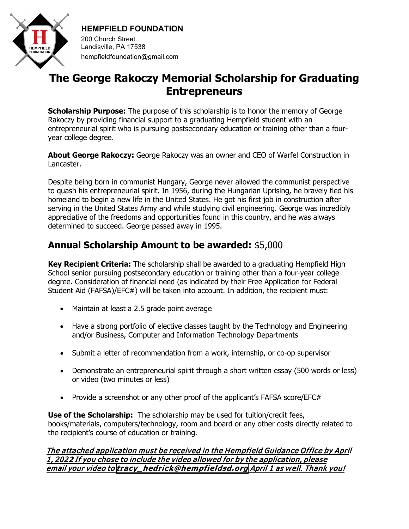

**HEMPFIELD FOUNDATION**

200 Church Street Landisville, PA 17538 hempfieldfoundation@gmail.com

# **The George Rakoczy Memorial Scholarship for Graduating Entrepreneurs**

**Scholarship Purpose:** The purpose of this scholarship is to honor the memory of George Rakoczy by providing financial support to a graduating Hempfield student with an entrepreneurial spirit who is pursuing postsecondary education or training other than a fouryear college degree.

**About George Rakoczy:** George Rakoczy was an owner and CEO of Warfel Construction in Lancaster.

Despite being born in communist Hungary, George never allowed the communist perspective to quash his entrepreneurial spirit. In 1956, during the Hungarian Uprising, he bravely fled his homeland to begin a new life in the United States. He got his first job in construction after serving in the United States Army and while studying civil engineering. George was incredibly appreciative of the freedoms and opportunities found in this country, and he was always determined to succeed. George passed away in 1995.

## **Annual Scholarship Amount to be awarded:** \$5,000

**Key Recipient Criteria:** The scholarship shall be awarded to a graduating Hempfield High School senior pursuing postsecondary education or training other than a four-year college degree. Consideration of financial need (as indicated by their Free Application for Federal Student Aid (FAFSA)/EFC#) will be taken into account. In addition, the recipient must:

- Maintain at least a 2.5 grade point average
- Have a strong portfolio of elective classes taught by the Technology and Engineering and/or Business, Computer and Information Technology Departments
- Submit a letter of recommendation from a work, internship, or co-op supervisor
- Demonstrate an entrepreneurial spirit through a short written essay (500 words or less) or video (two minutes or less)
- Provide a screenshot or any other proof of the applicant's FAFSA score/EFC#

**Use of the Scholarship:** The scholarship may be used for tuition/credit fees, books/materials, computers/technology, room and board or any other costs directly related to the recipient's course of education or training.

#### The attached application must be received in the Hempfield Guidance Office by April 1, 202**2** If you chose to include the video allowed for by the application, please email your video to **[tracy\\_hedrick@hempfieldsd.org](mailto:tracy_hedrick@hempfieldsd.org)** April 1 as w ell. Thank you!